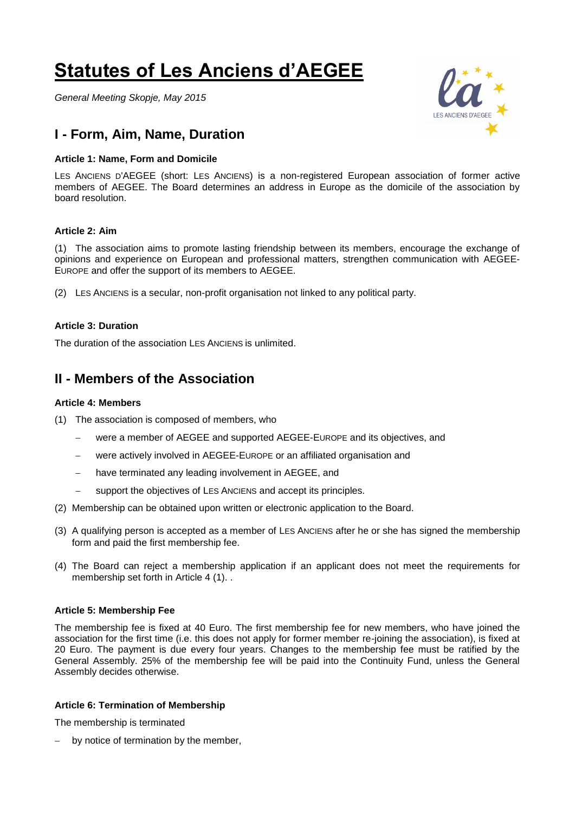# **Statutes of Les Anciens d'AEGEE**

*General Meeting Skopje, May 2015*

# **I - Form, Aim, Name, Duration**

#### **Article 1: Name, Form and Domicile**

LES ANCIENS D'AEGEE (short: LES ANCIENS) is a non-registered European association of former active members of AEGEE. The Board determines an address in Europe as the domicile of the association by board resolution.

## **Article 2: Aim**

(1) The association aims to promote lasting friendship between its members, encourage the exchange of opinions and experience on European and professional matters, strengthen communication with AEGEE-EUROPE and offer the support of its members to AEGEE.

(2) LES ANCIENS is a secular, non-profit organisation not linked to any political party.

#### **Article 3: Duration**

The duration of the association LES ANCIENS is unlimited.

## **II - Members of the Association**

### **Article 4: Members**

- (1) The association is composed of members, who
	- were a member of AEGEE and supported AEGEE-EUROPE and its objectives, and
	- were actively involved in AEGEE-EUROPE or an affiliated organisation and
	- have terminated any leading involvement in AEGEE, and
	- support the objectives of LES ANCIENS and accept its principles.
- (2) Membership can be obtained upon written or electronic application to the Board.
- (3) A qualifying person is accepted as a member of LES ANCIENS after he or she has signed the membership form and paid the first membership fee.
- (4) The Board can reject a membership application if an applicant does not meet the requirements for membership set forth in Article 4 (1). .

#### **Article 5: Membership Fee**

The membership fee is fixed at 40 Euro. The first membership fee for new members, who have joined the association for the first time (i.e. this does not apply for former member re-joining the association), is fixed at 20 Euro. The payment is due every four years. Changes to the membership fee must be ratified by the General Assembly. 25% of the membership fee will be paid into the Continuity Fund, unless the General Assembly decides otherwise.

#### **Article 6: Termination of Membership**

The membership is terminated

- by notice of termination by the member,

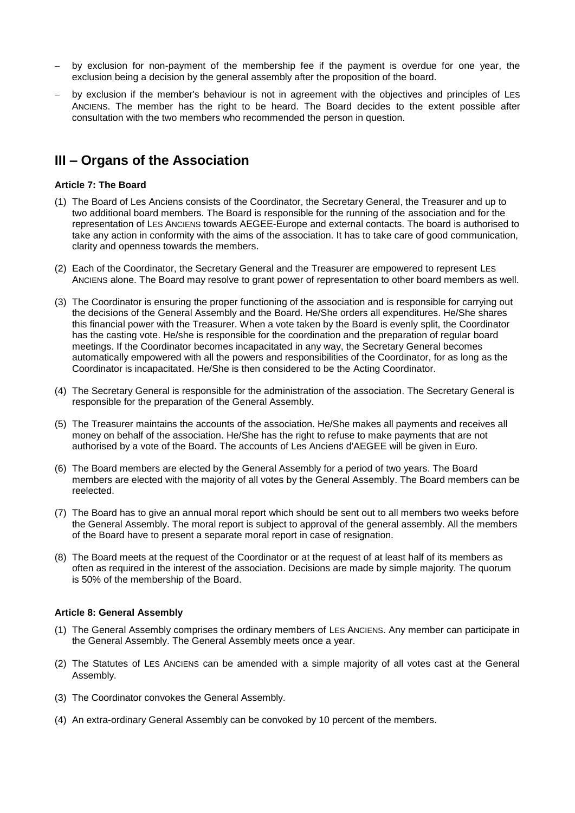- by exclusion for non-payment of the membership fee if the payment is overdue for one year, the exclusion being a decision by the general assembly after the proposition of the board.
- by exclusion if the member's behaviour is not in agreement with the objectives and principles of LES ANCIENS. The member has the right to be heard. The Board decides to the extent possible after consultation with the two members who recommended the person in question.

# **III – Organs of the Association**

#### **Article 7: The Board**

- (1) The Board of Les Anciens consists of the Coordinator, the Secretary General, the Treasurer and up to two additional board members. The Board is responsible for the running of the association and for the representation of LES ANCIENS towards AEGEE-Europe and external contacts. The board is authorised to take any action in conformity with the aims of the association. It has to take care of good communication, clarity and openness towards the members.
- (2) Each of the Coordinator, the Secretary General and the Treasurer are empowered to represent LES ANCIENS alone. The Board may resolve to grant power of representation to other board members as well.
- (3) The Coordinator is ensuring the proper functioning of the association and is responsible for carrying out the decisions of the General Assembly and the Board. He/She orders all expenditures. He/She shares this financial power with the Treasurer. When a vote taken by the Board is evenly split, the Coordinator has the casting vote. He/she is responsible for the coordination and the preparation of regular board meetings. If the Coordinator becomes incapacitated in any way, the Secretary General becomes automatically empowered with all the powers and responsibilities of the Coordinator, for as long as the Coordinator is incapacitated. He/She is then considered to be the Acting Coordinator.
- (4) The Secretary General is responsible for the administration of the association. The Secretary General is responsible for the preparation of the General Assembly.
- (5) The Treasurer maintains the accounts of the association. He/She makes all payments and receives all money on behalf of the association. He/She has the right to refuse to make payments that are not authorised by a vote of the Board. The accounts of Les Anciens d'AEGEE will be given in Euro.
- (6) The Board members are elected by the General Assembly for a period of two years. The Board members are elected with the majority of all votes by the General Assembly. The Board members can be reelected.
- (7) The Board has to give an annual moral report which should be sent out to all members two weeks before the General Assembly. The moral report is subject to approval of the general assembly. All the members of the Board have to present a separate moral report in case of resignation.
- (8) The Board meets at the request of the Coordinator or at the request of at least half of its members as often as required in the interest of the association. Decisions are made by simple majority. The quorum is 50% of the membership of the Board.

#### **Article 8: General Assembly**

- (1) The General Assembly comprises the ordinary members of LES ANCIENS. Any member can participate in the General Assembly. The General Assembly meets once a year.
- (2) The Statutes of LES ANCIENS can be amended with a simple majority of all votes cast at the General Assembly.
- (3) The Coordinator convokes the General Assembly.
- (4) An extra-ordinary General Assembly can be convoked by 10 percent of the members.